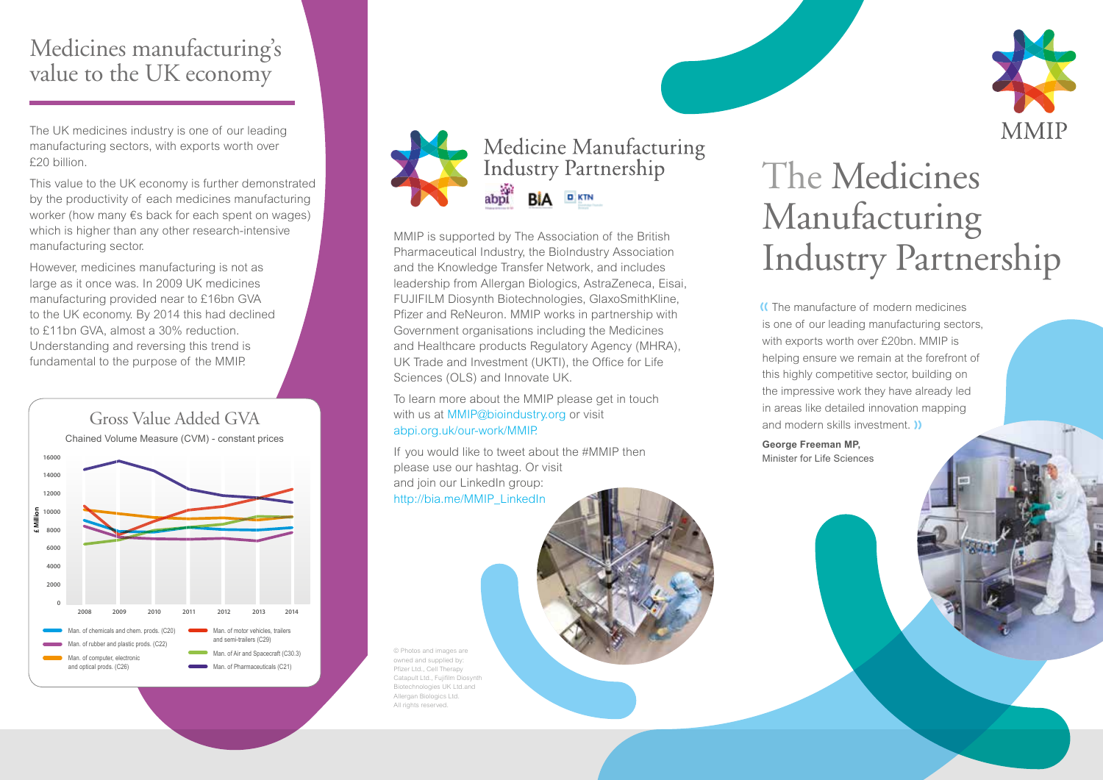## Medicines manufacturing's value to the UK economy

The UK medicines industry is one of our leading manufacturing sectors, with exports worth over £20 billion.

This value to the UK economy is further demonstrated by the productivity of each medicines manufacturing worker (how many €s back for each spent on wages) which is higher than any other research-intensive manufacturing sector.

However, medicines manufacturing is not as large as it once was. In 2009 UK medicines manufacturing provided near to £16bn GVA to the UK economy. By 2014 this had declined to £11bn GVA, almost a 30% reduction. Understanding and reversing this trend is fundamental to the purpose of the MMIP.





Pharmaceutical Industry, the BioIndustry Association and the Knowledge Transfer Network, and includes leadership from Allergan Biologics, AstraZeneca, Eisai, FUJIFILM Diosynth Biotechnologies, GlaxoSmithKline, Pfizer and ReNeuron. MMIP works in partnership with Government organisations including the Medicines and Healthcare products Regulatory Agency (MHRA), UK Trade and Investment (UKTI), the Office for Life Sciences (OLS) and Innovate UK.

To learn more about the MMIP please get in touch with us at MMIP@bioindustry.org or visit abpi.org.uk/our-work/MMIP.

If you would like to tweet about the #MMIP then please use our hashtag. Or visit and join our LinkedIn group: http://bia.me/MMIP\_LinkedIn

© Photos and images are owned and supplied by: Pfizer Ltd., Cell Therapy Catapult Ltd., Fujifilm Diosynth Biotechnologies UK Ltd.and Allergan Biologics Ltd. All rights reserved.

# The Medicines Manufacturing MMIP is supported by The Association of the British<br>
Pharmaceutical Industry, the BioIndustry Association<br>
and the Knowledge Transfer Network, and includes<br> **Industry Partnership**

 The manufacture of modern medicines is one of our leading manufacturing sectors, with exports worth over £20bn. MMIP is helping ensure we remain at the forefront of this highly competitive sector, building on the impressive work they have already led in areas like detailed innovation mapping and modern skills investment.

**George Freeman MP,**